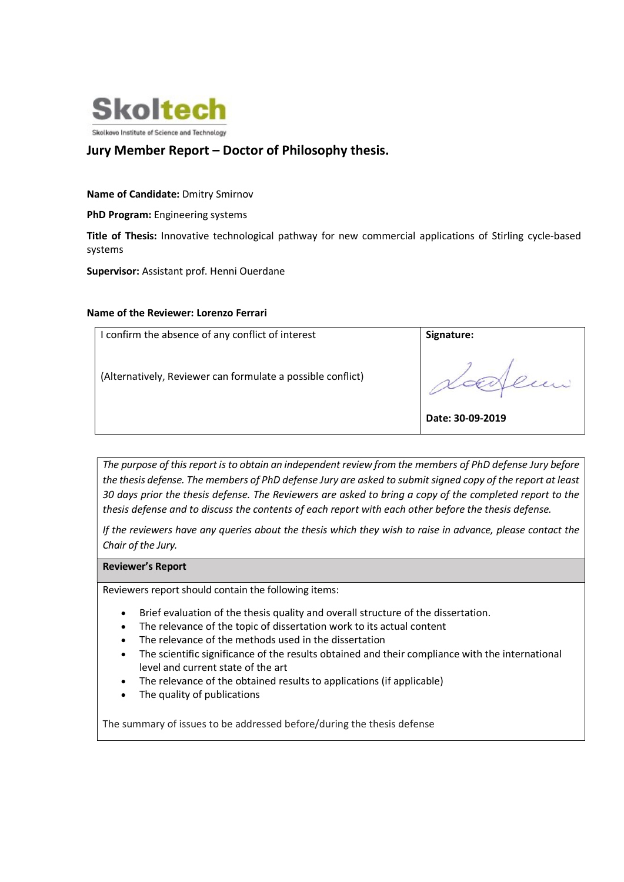

# Jury Member Report – Doctor of Philosophy thesis.

# Name of Candidate: Dmitry Smirnov

PhD Program: Engineering systems

Title of Thesis: Innovative technological pathway for new commercial applications of Stirling cycle-based systems

Supervisor: Assistant prof. Henni Ouerdane

### Name of the Reviewer: Lorenzo Ferrari

| confirm the absence of any conflict of interest             | Signature:       |
|-------------------------------------------------------------|------------------|
| (Alternatively, Reviewer can formulate a possible conflict) |                  |
|                                                             | Date: 30-09-2019 |

The purpose of this report is to obtain an independent review from the members of PhD defense Jury before the thesis defense. The members of PhD defense Jury are asked to submit signed copy of the report at least 30 days prior the thesis defense. The Reviewers are asked to bring a copy of the completed report to the thesis defense and to discuss the contents of each report with each other before the thesis defense.

If the reviewers have any queries about the thesis which they wish to raise in advance, please contact the Chair of the Jury.

#### Reviewer's Report

Reviewers report should contain the following items:

- Brief evaluation of the thesis quality and overall structure of the dissertation.
- The relevance of the topic of dissertation work to its actual content
- The relevance of the methods used in the dissertation
- The scientific significance of the results obtained and their compliance with the international level and current state of the art
- The relevance of the obtained results to applications (if applicable)
- The quality of publications

The summary of issues to be addressed before/during the thesis defense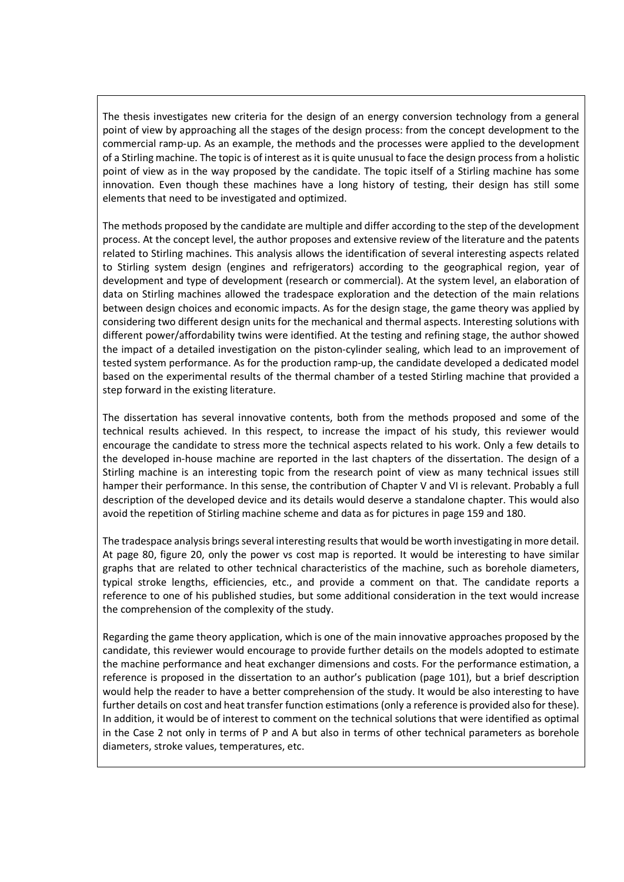The thesis investigates new criteria for the design of an energy conversion technology from a general point of view by approaching all the stages of the design process: from the concept development to the commercial ramp-up. As an example, the methods and the processes were applied to the development of a Stirling machine. The topic is of interest as it is quite unusual to face the design process from a holistic point of view as in the way proposed by the candidate. The topic itself of a Stirling machine has some innovation. Even though these machines have a long history of testing, their design has still some elements that need to be investigated and optimized.

The methods proposed by the candidate are multiple and differ according to the step of the development process. At the concept level, the author proposes and extensive review of the literature and the patents related to Stirling machines. This analysis allows the identification of several interesting aspects related to Stirling system design (engines and refrigerators) according to the geographical region, year of development and type of development (research or commercial). At the system level, an elaboration of data on Stirling machines allowed the tradespace exploration and the detection of the main relations between design choices and economic impacts. As for the design stage, the game theory was applied by considering two different design units for the mechanical and thermal aspects. Interesting solutions with different power/affordability twins were identified. At the testing and refining stage, the author showed the impact of a detailed investigation on the piston-cylinder sealing, which lead to an improvement of tested system performance. As for the production ramp-up, the candidate developed a dedicated model based on the experimental results of the thermal chamber of a tested Stirling machine that provided a step forward in the existing literature.

The dissertation has several innovative contents, both from the methods proposed and some of the technical results achieved. In this respect, to increase the impact of his study, this reviewer would encourage the candidate to stress more the technical aspects related to his work. Only a few details to the developed in-house machine are reported in the last chapters of the dissertation. The design of a Stirling machine is an interesting topic from the research point of view as many technical issues still hamper their performance. In this sense, the contribution of Chapter V and VI is relevant. Probably a full description of the developed device and its details would deserve a standalone chapter. This would also avoid the repetition of Stirling machine scheme and data as for pictures in page 159 and 180.

The tradespace analysis brings several interesting results that would be worth investigating in more detail. At page 80, figure 20, only the power vs cost map is reported. It would be interesting to have similar graphs that are related to other technical characteristics of the machine, such as borehole diameters, typical stroke lengths, efficiencies, etc., and provide a comment on that. The candidate reports a reference to one of his published studies, but some additional consideration in the text would increase the comprehension of the complexity of the study.

Regarding the game theory application, which is one of the main innovative approaches proposed by the candidate, this reviewer would encourage to provide further details on the models adopted to estimate the machine performance and heat exchanger dimensions and costs. For the performance estimation, a reference is proposed in the dissertation to an author's publication (page 101), but a brief description would help the reader to have a better comprehension of the study. It would be also interesting to have further details on cost and heat transfer function estimations (only a reference is provided also for these). In addition, it would be of interest to comment on the technical solutions that were identified as optimal in the Case 2 not only in terms of P and A but also in terms of other technical parameters as borehole diameters, stroke values, temperatures, etc.